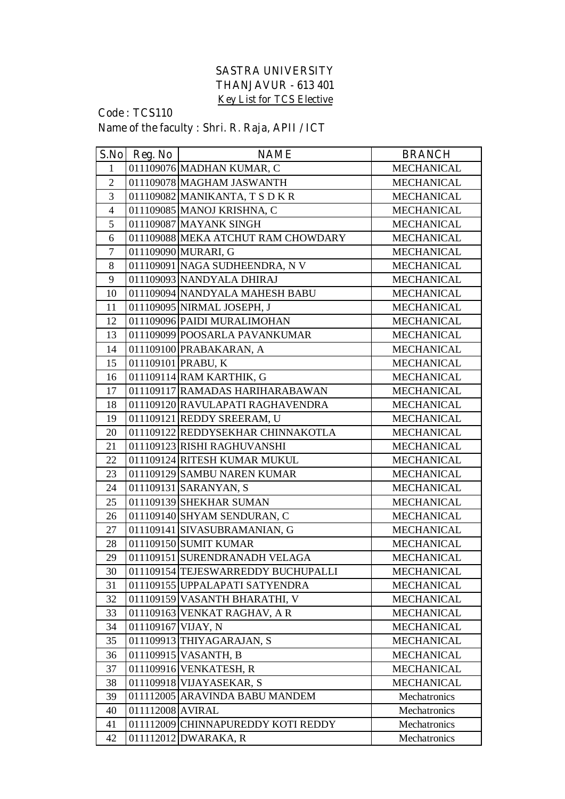## **SASTRA UNIVERSITY THANJAVUR - 613 401 Key List for TCS Elective**

## **Code : TCS110 Name of the faculty : Shri. R. Raja, APII / ICT**

| S.No           | Reg. No            | <b>NAME</b>                        | <b>BRANCH</b>     |
|----------------|--------------------|------------------------------------|-------------------|
| 1              |                    | 011109076 MADHAN KUMAR, C          | <b>MECHANICAL</b> |
| $\overline{2}$ |                    | 011109078 MAGHAM JASWANTH          | <b>MECHANICAL</b> |
| 3              |                    | 011109082 MANIKANTA, T S D K R     | <b>MECHANICAL</b> |
| $\overline{4}$ |                    | 011109085 MANOJ KRISHNA, C         | <b>MECHANICAL</b> |
| 5              |                    | 011109087 MAYANK SINGH             | <b>MECHANICAL</b> |
| 6              |                    | 011109088 MEKA ATCHUT RAM CHOWDARY | <b>MECHANICAL</b> |
| $\overline{7}$ |                    | 011109090 MURARI, G                | <b>MECHANICAL</b> |
| 8              |                    | 011109091 NAGA SUDHEENDRA, N V     | <b>MECHANICAL</b> |
| 9              |                    | 011109093 NANDYALA DHIRAJ          | <b>MECHANICAL</b> |
| 10             |                    | 011109094 NANDYALA MAHESH BABU     | <b>MECHANICAL</b> |
| 11             |                    | 011109095 NIRMAL JOSEPH, J         | <b>MECHANICAL</b> |
| 12             |                    | 011109096 PAIDI MURALIMOHAN        | <b>MECHANICAL</b> |
| 13             |                    | 011109099 POOSARLA PAVANKUMAR      | <b>MECHANICAL</b> |
| 14             |                    | 011109100 PRABAKARAN, A            | <b>MECHANICAL</b> |
| 15             |                    | 011109101 PRABU, K                 | <b>MECHANICAL</b> |
| 16             |                    | 011109114 RAM KARTHIK, G           | <b>MECHANICAL</b> |
| 17             |                    | 011109117 RAMADAS HARIHARABAWAN    | <b>MECHANICAL</b> |
| 18             |                    | 011109120 RAVULAPATI RAGHAVENDRA   | <b>MECHANICAL</b> |
| 19             |                    | 011109121 REDDY SREERAM, U         | <b>MECHANICAL</b> |
| 20             |                    | 011109122 REDDYSEKHAR CHINNAKOTLA  | <b>MECHANICAL</b> |
| 21             |                    | 011109123 RISHI RAGHUVANSHI        | <b>MECHANICAL</b> |
| 22             |                    | 011109124 RITESH KUMAR MUKUL       | <b>MECHANICAL</b> |
| 23             |                    | 011109129 SAMBU NAREN KUMAR        | <b>MECHANICAL</b> |
| 24             |                    | 011109131 SARANYAN, S              | <b>MECHANICAL</b> |
| 25             |                    | 011109139 SHEKHAR SUMAN            | <b>MECHANICAL</b> |
| 26             |                    | 011109140 SHYAM SENDURAN, C        | <b>MECHANICAL</b> |
| 27             |                    | 011109141 SIVASUBRAMANIAN, G       | <b>MECHANICAL</b> |
| 28             |                    | 011109150 SUMIT KUMAR              | <b>MECHANICAL</b> |
| 29             |                    | 011109151 SURENDRANADH VELAGA      | <b>MECHANICAL</b> |
| 30             |                    | 011109154 TEJESWARREDDY BUCHUPALLI | <b>MECHANICAL</b> |
| 31             |                    | 011109155 UPPALAPATI SATYENDRA     | <b>MECHANICAL</b> |
| 32             |                    | 011109159 VASANTH BHARATHI, V      | <b>MECHANICAL</b> |
| 33             |                    | 011109163 VENKAT RAGHAV, A R       | <b>MECHANICAL</b> |
| 34             | 011109167 VIJAY, N |                                    | <b>MECHANICAL</b> |
| 35             |                    | 011109913 THIYAGARAJAN, S          | <b>MECHANICAL</b> |
| 36             |                    | 011109915 VASANTH, B               | <b>MECHANICAL</b> |
| 37             |                    | 011109916 VENKATESH, R             | <b>MECHANICAL</b> |
| 38             |                    | 011109918 VIJAYASEKAR, S           | <b>MECHANICAL</b> |
| 39             |                    | 011112005 ARAVINDA BABU MANDEM     | Mechatronics      |
| 40             | 011112008 AVIRAL   |                                    | Mechatronics      |
| 41             |                    | 011112009 CHINNAPUREDDY KOTI REDDY | Mechatronics      |
| 42             |                    | 011112012 DWARAKA, R               | Mechatronics      |